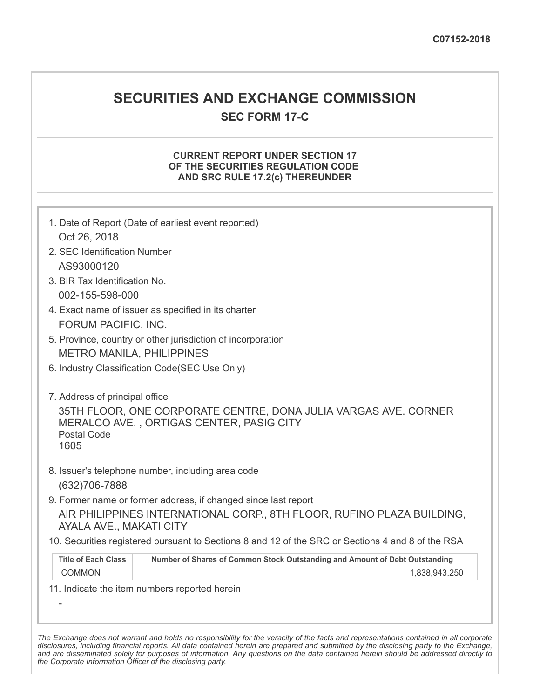# **SECURITIES AND EXCHANGE COMMISSION**

**SEC FORM 17-C**

## **CURRENT REPORT UNDER SECTION 17 OF THE SECURITIES REGULATION CODE AND SRC RULE 17.2(c) THEREUNDER**

| Oct 26, 2018<br>2. SEC Identification Number          | 1. Date of Report (Date of earliest event reported)                                                         |
|-------------------------------------------------------|-------------------------------------------------------------------------------------------------------------|
| AS93000120                                            |                                                                                                             |
| 3. BIR Tax Identification No.                         |                                                                                                             |
| 002-155-598-000                                       |                                                                                                             |
|                                                       | 4. Exact name of issuer as specified in its charter                                                         |
| FORUM PACIFIC, INC.                                   |                                                                                                             |
|                                                       | 5. Province, country or other jurisdiction of incorporation                                                 |
|                                                       | <b>METRO MANILA, PHILIPPINES</b>                                                                            |
|                                                       | 6. Industry Classification Code(SEC Use Only)                                                               |
| 7. Address of principal office<br>Postal Code<br>1605 | 35TH FLOOR, ONE CORPORATE CENTRE, DONA JULIA VARGAS AVE. CORNER<br>MERALCO AVE., ORTIGAS CENTER, PASIG CITY |
| (632) 706-7888                                        | 8. Issuer's telephone number, including area code                                                           |
|                                                       | 9. Former name or former address, if changed since last report                                              |
| AYALA AVE., MAKATI CITY                               | AIR PHILIPPINES INTERNATIONAL CORP., 8TH FLOOR, RUFINO PLAZA BUILDING,                                      |
|                                                       | 10. Securities registered pursuant to Sections 8 and 12 of the SRC or Sections 4 and 8 of the RSA           |
| <b>Title of Each Class</b>                            | Number of Shares of Common Stock Outstanding and Amount of Debt Outstanding                                 |
| <b>COMMON</b>                                         | 1,838,943,250                                                                                               |
|                                                       | 11. Indicate the item numbers reported herein                                                               |

The Exchange does not warrant and holds no responsibility for the veracity of the facts and representations contained in all corporate disclosures, including financial reports. All data contained herein are prepared and submitted by the disclosing party to the Exchange, and are disseminated solely for purposes of information. Any questions on the data contained herein should be addressed directly to *the Corporate Information Officer of the disclosing party.*

-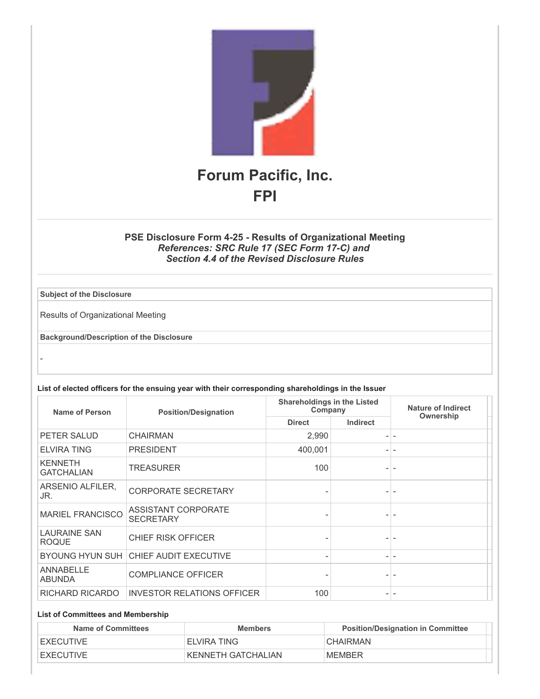

## **PSE Disclosure Form 4-25 - Results of Organizational Meeting** *References: SRC Rule 17 (SEC Form 17-C) and Section 4.4 of the Revised Disclosure Rules*

**Subject of the Disclosure**

-

Results of Organizational Meeting

**Background/Description of the Disclosure**

|  |  | List of elected officers for the ensuing year with their corresponding shareholdings in the Issuer |  |
|--|--|----------------------------------------------------------------------------------------------------|--|
|--|--|----------------------------------------------------------------------------------------------------|--|

| Name of Person                      | <b>Position/Designation</b>                    | <b>Shareholdings in the Listed</b><br>Company |                          | <b>Nature of Indirect</b> |
|-------------------------------------|------------------------------------------------|-----------------------------------------------|--------------------------|---------------------------|
|                                     |                                                | <b>Direct</b>                                 | <b>Indirect</b>          | Ownership                 |
| PETER SALUD                         | <b>CHAIRMAN</b>                                | 2,990                                         |                          |                           |
| <b>ELVIRA TING</b>                  | <b>PRESIDENT</b>                               | 400,001                                       |                          |                           |
| <b>KENNETH</b><br><b>GATCHALIAN</b> | <b>TREASURER</b>                               | 100                                           |                          |                           |
| ARSENIO ALFILER.<br>JR.             | <b>CORPORATE SECRETARY</b>                     |                                               |                          |                           |
| <b>MARIEL FRANCISCO</b>             | <b>ASSISTANT CORPORATE</b><br><b>SECRETARY</b> |                                               |                          |                           |
| <b>LAURAINE SAN</b><br><b>ROQUE</b> | <b>CHIEF RISK OFFICER</b>                      |                                               |                          |                           |
|                                     | BYOUNG HYUN SUH CHIEF AUDIT EXECUTIVE          |                                               | $\overline{\phantom{a}}$ |                           |
| <b>ANNABELLE</b><br><b>ABUNDA</b>   | <b>COMPLIANCE OFFICER</b>                      |                                               |                          |                           |
| RICHARD RICARDO                     | <b>INVESTOR RELATIONS OFFICER</b>              | 100                                           |                          |                           |

#### **List of Committees and Membership**

| Name of Committees | <b>Members</b>     | <b>Position/Designation in Committee</b> |
|--------------------|--------------------|------------------------------------------|
| <b>EXECUTIVE</b>   | ELVIRA TING        | <b>CHAIRMAN</b>                          |
| <b>EXECUTIVE</b>   | KENNETH GATCHALIAN | <b>MEMBER</b>                            |